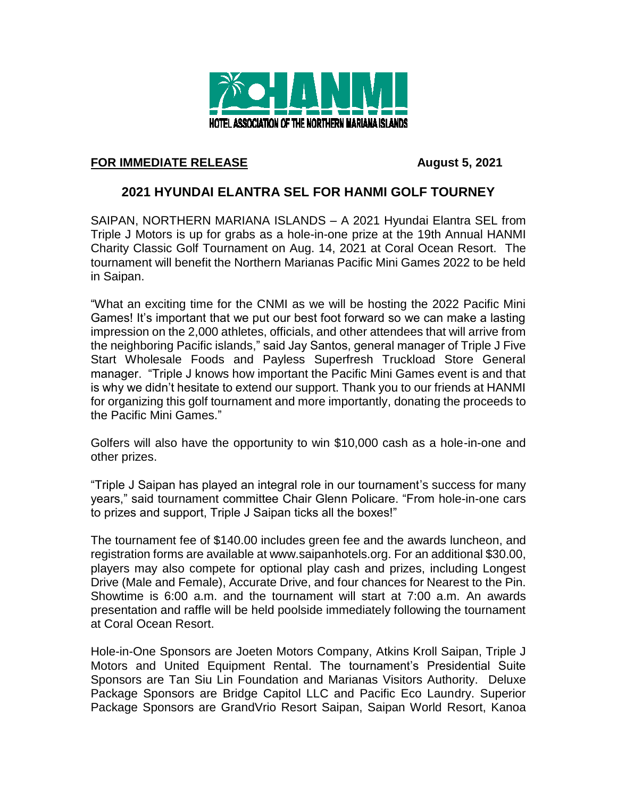

## **FOR IMMEDIATE RELEASE August 5, 2021**

## **2021 HYUNDAI ELANTRA SEL FOR HANMI GOLF TOURNEY**

SAIPAN, NORTHERN MARIANA ISLANDS – A 2021 Hyundai Elantra SEL from Triple J Motors is up for grabs as a hole-in-one prize at the 19th Annual HANMI Charity Classic Golf Tournament on Aug. 14, 2021 at Coral Ocean Resort. The tournament will benefit the Northern Marianas Pacific Mini Games 2022 to be held in Saipan.

"What an exciting time for the CNMI as we will be hosting the 2022 Pacific Mini Games! It's important that we put our best foot forward so we can make a lasting impression on the 2,000 athletes, officials, and other attendees that will arrive from the neighboring Pacific islands," said Jay Santos, general manager of Triple J Five Start Wholesale Foods and Payless Superfresh Truckload Store General manager. "Triple J knows how important the Pacific Mini Games event is and that is why we didn't hesitate to extend our support. Thank you to our friends at HANMI for organizing this golf tournament and more importantly, donating the proceeds to the Pacific Mini Games."

Golfers will also have the opportunity to win \$10,000 cash as a hole-in-one and other prizes.

"Triple J Saipan has played an integral role in our tournament's success for many years," said tournament committee Chair Glenn Policare. "From hole-in-one cars to prizes and support, Triple J Saipan ticks all the boxes!"

The tournament fee of \$140.00 includes green fee and the awards luncheon, and registration forms are available at www.saipanhotels.org. For an additional \$30.00, players may also compete for optional play cash and prizes, including Longest Drive (Male and Female), Accurate Drive, and four chances for Nearest to the Pin. Showtime is 6:00 a.m. and the tournament will start at 7:00 a.m. An awards presentation and raffle will be held poolside immediately following the tournament at Coral Ocean Resort.

Hole-in-One Sponsors are Joeten Motors Company, Atkins Kroll Saipan, Triple J Motors and United Equipment Rental. The tournament's Presidential Suite Sponsors are Tan Siu Lin Foundation and Marianas Visitors Authority. Deluxe Package Sponsors are Bridge Capitol LLC and Pacific Eco Laundry. Superior Package Sponsors are GrandVrio Resort Saipan, Saipan World Resort, Kanoa